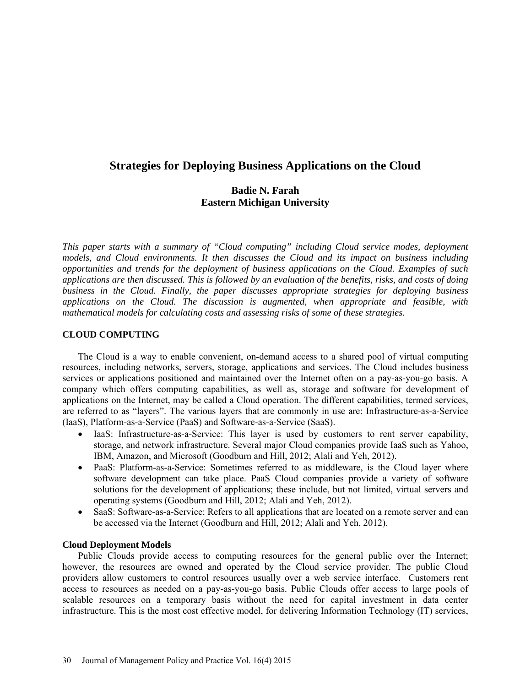# **Strategies for Deploying Business Applications on the Cloud**

# **Badie N. Farah Eastern Michigan University**

*This paper starts with a summary of "Cloud computing" including Cloud service modes, deployment models, and Cloud environments. It then discusses the Cloud and its impact on business including opportunities and trends for the deployment of business applications on the Cloud. Examples of such applications are then discussed. This is followed by an evaluation of the benefits, risks, and costs of doing business in the Cloud. Finally, the paper discusses appropriate strategies for deploying business applications on the Cloud. The discussion is augmented, when appropriate and feasible, with mathematical models for calculating costs and assessing risks of some of these strategies.*

# **CLOUD COMPUTING**

The Cloud is a way to enable convenient, on-demand access to a shared pool of virtual computing resources, including networks, servers, storage, applications and services. The Cloud includes business services or applications positioned and maintained over the Internet often on a pay-as-you-go basis. A company which offers computing capabilities, as well as, storage and software for development of applications on the Internet, may be called a Cloud operation. The different capabilities, termed services, are referred to as "layers". The various layers that are commonly in use are: Infrastructure-as-a-Service (IaaS), Platform-as-a-Service (PaaS) and Software-as-a-Service (SaaS).

- IaaS: Infrastructure-as-a-Service: This layer is used by customers to rent server capability, storage, and network infrastructure. Several major Cloud companies provide IaaS such as Yahoo, IBM, Amazon, and Microsoft (Goodburn and Hill, 2012; Alali and Yeh, 2012).
- PaaS: Platform-as-a-Service: Sometimes referred to as middleware, is the Cloud layer where software development can take place. PaaS Cloud companies provide a variety of software solutions for the development of applications; these include, but not limited, virtual servers and operating systems (Goodburn and Hill, 2012; Alali and Yeh, 2012).
- SaaS: Software-as-a-Service: Refers to all applications that are located on a remote server and can be accessed via the Internet (Goodburn and Hill, 2012; Alali and Yeh, 2012).

# **Cloud Deployment Models**

Public Clouds provide access to computing resources for the general public over the Internet; however, the resources are owned and operated by the Cloud service provider. The public Cloud providers allow customers to control resources usually over a web service interface. Customers rent access to resources as needed on a pay-as-you-go basis. Public Clouds offer access to large pools of scalable resources on a temporary basis without the need for capital investment in data center infrastructure. This is the most cost effective model, for delivering Information Technology (IT) services,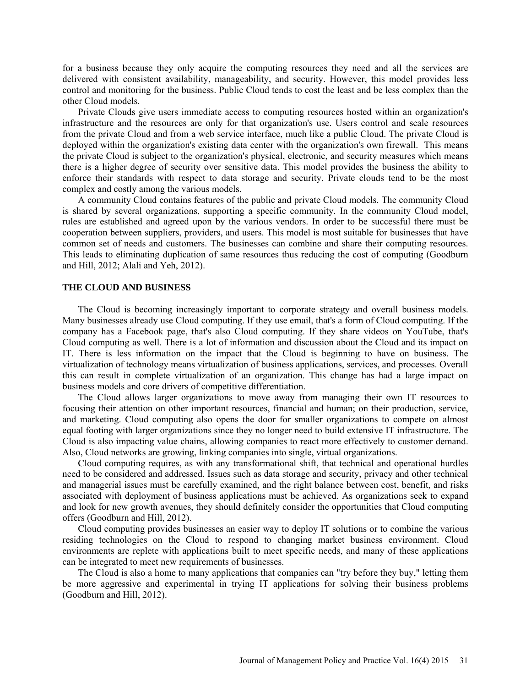for a business because they only acquire the computing resources they need and all the services are delivered with consistent availability, manageability, and security. However, this model provides less control and monitoring for the business. Public Cloud tends to cost the least and be less complex than the other Cloud models.

Private Clouds give users immediate access to computing resources hosted within an organization's infrastructure and the resources are only for that organization's use. Users control and scale resources from the private Cloud and from a web service interface, much like a public Cloud. The private Cloud is deployed within the organization's existing data center with the organization's own firewall. This means the private Cloud is subject to the organization's physical, electronic, and security measures which means there is a higher degree of security over sensitive data. This model provides the business the ability to enforce their standards with respect to data storage and security. Private clouds tend to be the most complex and costly among the various models.

A community Cloud contains features of the public and private Cloud models. The community Cloud is shared by several organizations, supporting a specific community. In the community Cloud model, rules are established and agreed upon by the various vendors. In order to be successful there must be cooperation between suppliers, providers, and users. This model is most suitable for businesses that have common set of needs and customers. The businesses can combine and share their computing resources. This leads to eliminating duplication of same resources thus reducing the cost of computing (Goodburn and Hill, 2012; Alali and Yeh, 2012).

# **THE CLOUD AND BUSINESS**

The Cloud is becoming increasingly important to corporate strategy and overall business models. Many businesses already use Cloud computing. If they use email, that's a form of Cloud computing. If the company has a Facebook page, that's also Cloud computing. If they share videos on YouTube, that's Cloud computing as well. There is a lot of information and discussion about the Cloud and its impact on IT. There is less information on the impact that the Cloud is beginning to have on business. The virtualization of technology means virtualization of business applications, services, and processes. Overall this can result in complete virtualization of an organization. This change has had a large impact on business models and core drivers of competitive differentiation.

The Cloud allows larger organizations to move away from managing their own IT resources to focusing their attention on other important resources, financial and human; on their production, service, and marketing. Cloud computing also opens the door for smaller organizations to compete on almost equal footing with larger organizations since they no longer need to build extensive IT infrastructure. The Cloud is also impacting value chains, allowing companies to react more effectively to customer demand. Also, Cloud networks are growing, linking companies into single, virtual organizations.

Cloud computing requires, as with any transformational shift, that technical and operational hurdles need to be considered and addressed. Issues such as data storage and security, privacy and other technical and managerial issues must be carefully examined, and the right balance between cost, benefit, and risks associated with deployment of business applications must be achieved. As organizations seek to expand and look for new growth avenues, they should definitely consider the opportunities that Cloud computing offers (Goodburn and Hill, 2012).

Cloud computing provides businesses an easier way to deploy IT solutions or to combine the various residing technologies on the Cloud to respond to changing market business environment. Cloud environments are replete with applications built to meet specific needs, and many of these applications can be integrated to meet new requirements of businesses.

The Cloud is also a home to many applications that companies can "try before they buy," letting them be more aggressive and experimental in trying IT applications for solving their business problems (Goodburn and Hill, 2012).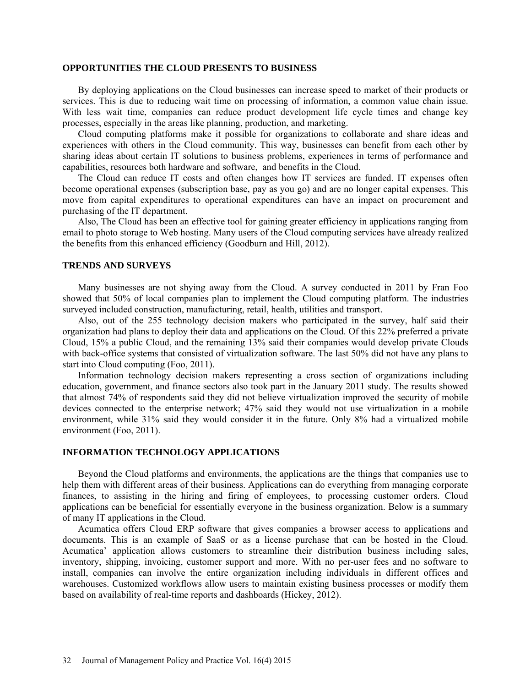#### **OPPORTUNITIES THE CLOUD PRESENTS TO BUSINESS**

By deploying applications on the Cloud businesses can increase speed to market of their products or services. This is due to reducing wait time on processing of information, a common value chain issue. With less wait time, companies can reduce product development life cycle times and change key processes, especially in the areas like planning, production, and marketing.

Cloud computing platforms make it possible for organizations to collaborate and share ideas and experiences with others in the Cloud community. This way, businesses can benefit from each other by sharing ideas about certain IT solutions to business problems, experiences in terms of performance and capabilities, resources both hardware and software, and benefits in the Cloud.

The Cloud can reduce IT costs and often changes how IT services are funded. IT expenses often become operational expenses (subscription base, pay as you go) and are no longer capital expenses. This move from capital expenditures to operational expenditures can have an impact on procurement and purchasing of the IT department.

Also, The Cloud has been an effective tool for gaining greater efficiency in applications ranging from email to photo storage to Web hosting. Many users of the Cloud computing services have already realized the benefits from this enhanced efficiency (Goodburn and Hill, 2012).

### **TRENDS AND SURVEYS**

Many businesses are not shying away from the Cloud. A survey conducted in 2011 by Fran Foo showed that 50% of local companies plan to implement the Cloud computing platform. The industries surveyed included construction, manufacturing, retail, health, utilities and transport.

Also, out of the 255 technology decision makers who participated in the survey, half said their organization had plans to deploy their data and applications on the Cloud. Of this 22% preferred a private Cloud, 15% a public Cloud, and the remaining 13% said their companies would develop private Clouds with back-office systems that consisted of virtualization software. The last 50% did not have any plans to start into Cloud computing (Foo, 2011).

Information technology decision makers representing a cross section of organizations including education, government, and finance sectors also took part in the January 2011 study. The results showed that almost 74% of respondents said they did not believe virtualization improved the security of mobile devices connected to the enterprise network; 47% said they would not use virtualization in a mobile environment, while 31% said they would consider it in the future. Only 8% had a virtualized mobile environment (Foo, 2011).

#### **INFORMATION TECHNOLOGY APPLICATIONS**

Beyond the Cloud platforms and environments, the applications are the things that companies use to help them with different areas of their business. Applications can do everything from managing corporate finances, to assisting in the hiring and firing of employees, to processing customer orders. Cloud applications can be beneficial for essentially everyone in the business organization. Below is a summary of many IT applications in the Cloud.

Acumatica offers Cloud ERP software that gives companies a browser access to applications and documents. This is an example of SaaS or as a license purchase that can be hosted in the Cloud. Acumatica' application allows customers to streamline their distribution business including sales, inventory, shipping, invoicing, customer support and more. With no per-user fees and no software to install, companies can involve the entire organization including individuals in different offices and warehouses. Customized workflows allow users to maintain existing business processes or modify them based on availability of real-time reports and dashboards (Hickey, 2012).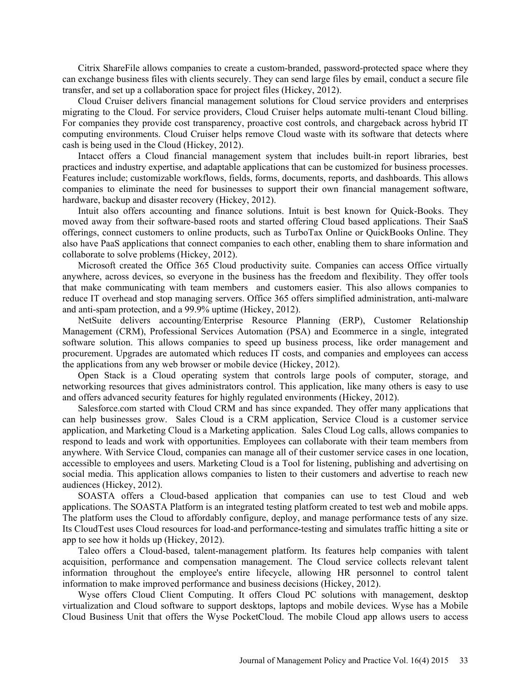Citrix ShareFile allows companies to create a custom-branded, password-protected space where they can exchange business files with clients securely. They can send large files by email, conduct a secure file transfer, and set up a collaboration space for project files (Hickey, 2012).

Cloud Cruiser delivers financial management solutions for Cloud service providers and enterprises migrating to the Cloud. For service providers, Cloud Cruiser helps automate multi-tenant Cloud billing. For companies they provide cost transparency, proactive cost controls, and chargeback across hybrid IT computing environments. Cloud Cruiser helps remove Cloud waste with its software that detects where cash is being used in the Cloud (Hickey, 2012).

Intacct offers a Cloud financial management system that includes built-in report libraries, best practices and industry expertise, and adaptable applications that can be customized for business processes. Features include; customizable workflows, fields, forms, documents, reports, and dashboards. This allows companies to eliminate the need for businesses to support their own financial management software, hardware, backup and disaster recovery (Hickey, 2012).

Intuit also offers accounting and finance solutions. Intuit is best known for Quick-Books. They moved away from their software-based roots and started offering Cloud based applications. Their SaaS offerings, connect customers to online products, such as TurboTax Online or QuickBooks Online. They also have PaaS applications that connect companies to each other, enabling them to share information and collaborate to solve problems (Hickey, 2012).

Microsoft created the Office 365 Cloud productivity suite. Companies can access Office virtually anywhere, across devices, so everyone in the business has the freedom and flexibility. They offer tools that make communicating with team members and customers easier. This also allows companies to reduce IT overhead and stop managing servers. Office 365 offers simplified administration, anti-malware and anti-spam protection, and a 99.9% uptime (Hickey, 2012).

NetSuite delivers accounting/Enterprise Resource Planning (ERP), Customer Relationship Management (CRM), Professional Services Automation (PSA) and Ecommerce in a single, integrated software solution. This allows companies to speed up business process, like order management and procurement. Upgrades are automated which reduces IT costs, and companies and employees can access the applications from any web browser or mobile device (Hickey, 2012).

Open Stack is a Cloud operating system that controls large pools of computer, storage, and networking resources that gives administrators control. This application, like many others is easy to use and offers advanced security features for highly regulated environments (Hickey, 2012).

Salesforce.com started with Cloud CRM and has since expanded. They offer many applications that can help businesses grow. Sales Cloud is a CRM application, Service Cloud is a customer service application, and Marketing Cloud is a Marketing application. Sales Cloud Log calls, allows companies to respond to leads and work with opportunities. Employees can collaborate with their team members from anywhere. With Service Cloud, companies can manage all of their customer service cases in one location, accessible to employees and users. Marketing Cloud is a Tool for listening, publishing and advertising on social media. This application allows companies to listen to their customers and advertise to reach new audiences (Hickey, 2012).

SOASTA offers a Cloud-based application that companies can use to test Cloud and web applications. The SOASTA Platform is an integrated testing platform created to test web and mobile apps. The platform uses the Cloud to affordably configure, deploy, and manage performance tests of any size. Its CloudTest uses Cloud resources for load-and performance-testing and simulates traffic hitting a site or app to see how it holds up (Hickey, 2012).

Taleo offers a Cloud-based, talent-management platform. Its features help companies with talent acquisition, performance and compensation management. The Cloud service collects relevant talent information throughout the employee's entire lifecycle, allowing HR personnel to control talent information to make improved performance and business decisions (Hickey, 2012).

Wyse offers Cloud Client Computing. It offers Cloud PC solutions with management, desktop virtualization and Cloud software to support desktops, laptops and mobile devices. Wyse has a Mobile Cloud Business Unit that offers the Wyse PocketCloud. The mobile Cloud app allows users to access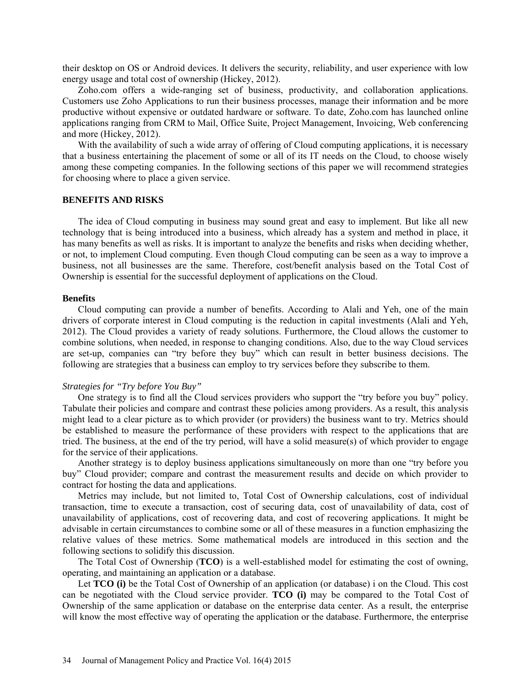their desktop on OS or Android devices. It delivers the security, reliability, and user experience with low energy usage and total cost of ownership (Hickey, 2012).

Zoho.com offers a wide-ranging set of business, productivity, and collaboration applications. Customers use Zoho Applications to run their business processes, manage their information and be more productive without expensive or outdated hardware or software. To date, Zoho.com has launched online applications ranging from CRM to Mail, Office Suite, Project Management, Invoicing, Web conferencing and more (Hickey, 2012).

With the availability of such a wide array of offering of Cloud computing applications, it is necessary that a business entertaining the placement of some or all of its IT needs on the Cloud, to choose wisely among these competing companies. In the following sections of this paper we will recommend strategies for choosing where to place a given service.

# **BENEFITS AND RISKS**

The idea of Cloud computing in business may sound great and easy to implement. But like all new technology that is being introduced into a business, which already has a system and method in place, it has many benefits as well as risks. It is important to analyze the benefits and risks when deciding whether, or not, to implement Cloud computing. Even though Cloud computing can be seen as a way to improve a business, not all businesses are the same. Therefore, cost/benefit analysis based on the Total Cost of Ownership is essential for the successful deployment of applications on the Cloud.

#### **Benefits**

Cloud computing can provide a number of benefits. According to Alali and Yeh, one of the main drivers of corporate interest in Cloud computing is the reduction in capital investments (Alali and Yeh, 2012). The Cloud provides a variety of ready solutions. Furthermore, the Cloud allows the customer to combine solutions, when needed, in response to changing conditions. Also, due to the way Cloud services are set-up, companies can "try before they buy" which can result in better business decisions. The following are strategies that a business can employ to try services before they subscribe to them.

# *Strategies for "Try before You Buy"*

One strategy is to find all the Cloud services providers who support the "try before you buy" policy. Tabulate their policies and compare and contrast these policies among providers. As a result, this analysis might lead to a clear picture as to which provider (or providers) the business want to try. Metrics should be established to measure the performance of these providers with respect to the applications that are tried. The business, at the end of the try period, will have a solid measure(s) of which provider to engage for the service of their applications.

Another strategy is to deploy business applications simultaneously on more than one "try before you buy" Cloud provider; compare and contrast the measurement results and decide on which provider to contract for hosting the data and applications.

Metrics may include, but not limited to, Total Cost of Ownership calculations, cost of individual transaction, time to execute a transaction, cost of securing data, cost of unavailability of data, cost of unavailability of applications, cost of recovering data, and cost of recovering applications. It might be advisable in certain circumstances to combine some or all of these measures in a function emphasizing the relative values of these metrics. Some mathematical models are introduced in this section and the following sections to solidify this discussion.

The Total Cost of Ownership (**TCO**) is a well-established model for estimating the cost of owning, operating, and maintaining an application or a database.

Let **TCO (i)** be the Total Cost of Ownership of an application (or database) i on the Cloud. This cost can be negotiated with the Cloud service provider. **TCO (i)** may be compared to the Total Cost of Ownership of the same application or database on the enterprise data center. As a result, the enterprise will know the most effective way of operating the application or the database. Furthermore, the enterprise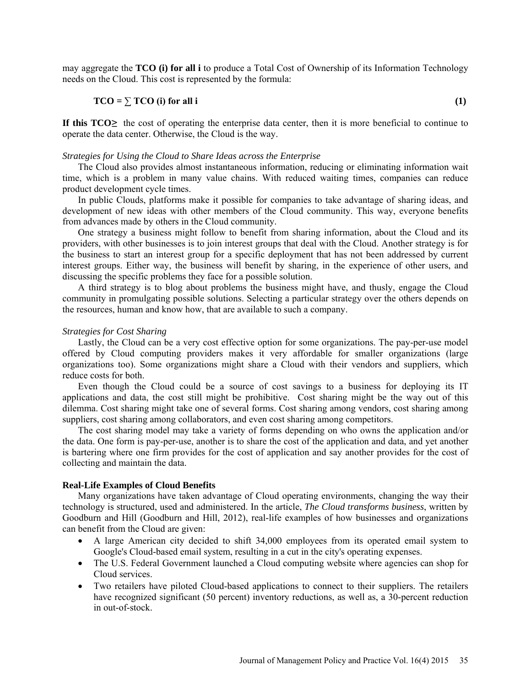may aggregate the **TCO (i) for all i** to produce a Total Cost of Ownership of its Information Technology needs on the Cloud. This cost is represented by the formula:

### **TCO = ∑ TCO (i) for all i (1)**

**If this**  $TCO\ge$  **the cost of operating the enterprise data center, then it is more beneficial to continue to** operate the data center. Otherwise, the Cloud is the way.

#### *Strategies for Using the Cloud to Share Ideas across the Enterprise*

The Cloud also provides almost instantaneous information, reducing or eliminating information wait time, which is a problem in many value chains. With reduced waiting times, companies can reduce product development cycle times.

In public Clouds, platforms make it possible for companies to take advantage of sharing ideas, and development of new ideas with other members of the Cloud community. This way, everyone benefits from advances made by others in the Cloud community.

One strategy a business might follow to benefit from sharing information, about the Cloud and its providers, with other businesses is to join interest groups that deal with the Cloud. Another strategy is for the business to start an interest group for a specific deployment that has not been addressed by current interest groups. Either way, the business will benefit by sharing, in the experience of other users, and discussing the specific problems they face for a possible solution.

A third strategy is to blog about problems the business might have, and thusly, engage the Cloud community in promulgating possible solutions. Selecting a particular strategy over the others depends on the resources, human and know how, that are available to such a company.

### *Strategies for Cost Sharing*

Lastly, the Cloud can be a very cost effective option for some organizations. The pay-per-use model offered by Cloud computing providers makes it very affordable for smaller organizations (large organizations too). Some organizations might share a Cloud with their vendors and suppliers, which reduce costs for both.

Even though the Cloud could be a source of cost savings to a business for deploying its IT applications and data, the cost still might be prohibitive. Cost sharing might be the way out of this dilemma. Cost sharing might take one of several forms. Cost sharing among vendors, cost sharing among suppliers, cost sharing among collaborators, and even cost sharing among competitors.

The cost sharing model may take a variety of forms depending on who owns the application and/or the data. One form is pay-per-use, another is to share the cost of the application and data, and yet another is bartering where one firm provides for the cost of application and say another provides for the cost of collecting and maintain the data.

#### **Real-Life Examples of Cloud Benefits**

Many organizations have taken advantage of Cloud operating environments, changing the way their technology is structured, used and administered. In the article, *The Cloud transforms business*, written by Goodburn and Hill (Goodburn and Hill, 2012), real-life examples of how businesses and organizations can benefit from the Cloud are given:

- A large American city decided to shift 34,000 employees from its operated email system to Google's Cloud-based email system, resulting in a cut in the city's operating expenses.
- The U.S. Federal Government launched a Cloud computing website where agencies can shop for Cloud services.
- Two retailers have piloted Cloud-based applications to connect to their suppliers. The retailers have recognized significant (50 percent) inventory reductions, as well as, a 30-percent reduction in out-of-stock.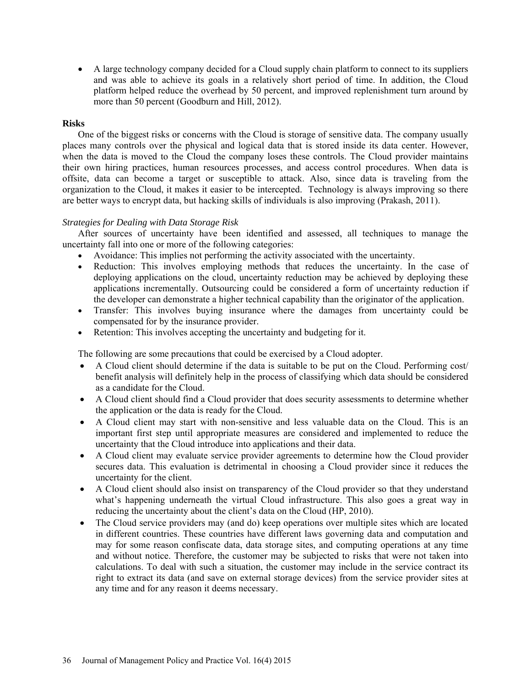• A large technology company decided for a Cloud supply chain platform to connect to its suppliers and was able to achieve its goals in a relatively short period of time. In addition, the Cloud platform helped reduce the overhead by 50 percent, and improved replenishment turn around by more than 50 percent (Goodburn and Hill, 2012).

# **Risks**

One of the biggest risks or concerns with the Cloud is storage of sensitive data. The company usually places many controls over the physical and logical data that is stored inside its data center. However, when the data is moved to the Cloud the company loses these controls. The Cloud provider maintains their own hiring practices, human resources processes, and access control procedures. When data is offsite, data can become a target or susceptible to attack. Also, since data is traveling from the organization to the Cloud, it makes it easier to be intercepted. Technology is always improving so there are better ways to encrypt data, but hacking skills of individuals is also improving (Prakash, 2011).

# *Strategies for Dealing with Data Storage Risk*

After sources of uncertainty have been identified and assessed, all techniques to manage the uncertainty fall into one or more of the following categories:

- Avoidance: This implies not performing the activity associated with the uncertainty.
- Reduction: This involves employing methods that reduces the uncertainty. In the case of deploying applications on the cloud, uncertainty reduction may be achieved by deploying these applications incrementally. Outsourcing could be considered a form of uncertainty reduction if the developer can demonstrate a higher technical capability than the originator of the application.
- Transfer: This involves buying insurance where the damages from uncertainty could be compensated for by the insurance provider.
- Retention: This involves accepting the uncertainty and budgeting for it.

The following are some precautions that could be exercised by a Cloud adopter.

- A Cloud client should determine if the data is suitable to be put on the Cloud. Performing cost/ benefit analysis will definitely help in the process of classifying which data should be considered as a candidate for the Cloud.
- A Cloud client should find a Cloud provider that does security assessments to determine whether the application or the data is ready for the Cloud.
- A Cloud client may start with non-sensitive and less valuable data on the Cloud. This is an important first step until appropriate measures are considered and implemented to reduce the uncertainty that the Cloud introduce into applications and their data.
- A Cloud client may evaluate service provider agreements to determine how the Cloud provider secures data. This evaluation is detrimental in choosing a Cloud provider since it reduces the uncertainty for the client.
- A Cloud client should also insist on transparency of the Cloud provider so that they understand what's happening underneath the virtual Cloud infrastructure. This also goes a great way in reducing the uncertainty about the client's data on the Cloud (HP, 2010).
- The Cloud service providers may (and do) keep operations over multiple sites which are located in different countries. These countries have different laws governing data and computation and may for some reason confiscate data, data storage sites, and computing operations at any time and without notice. Therefore, the customer may be subjected to risks that were not taken into calculations. To deal with such a situation, the customer may include in the service contract its right to extract its data (and save on external storage devices) from the service provider sites at any time and for any reason it deems necessary.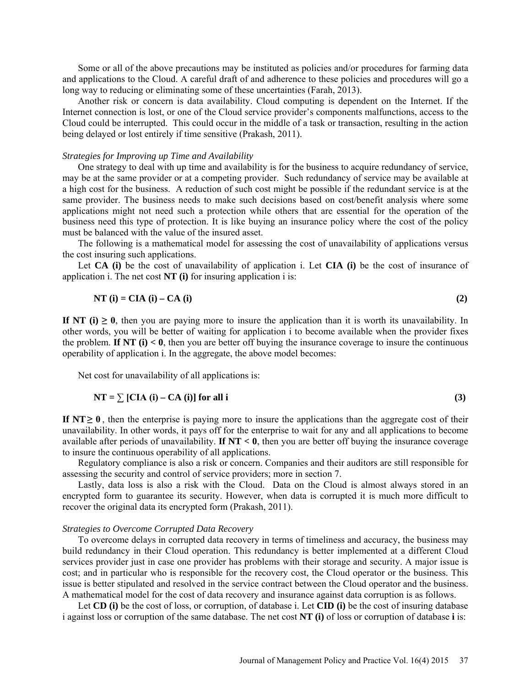Some or all of the above precautions may be instituted as policies and/or procedures for farming data and applications to the Cloud. A careful draft of and adherence to these policies and procedures will go a long way to reducing or eliminating some of these uncertainties (Farah, 2013).

Another risk or concern is data availability. Cloud computing is dependent on the Internet. If the Internet connection is lost, or one of the Cloud service provider's components malfunctions, access to the Cloud could be interrupted. This could occur in the middle of a task or transaction, resulting in the action being delayed or lost entirely if time sensitive (Prakash, 2011).

#### *Strategies for Improving up Time and Availability*

One strategy to deal with up time and availability is for the business to acquire redundancy of service, may be at the same provider or at a competing provider. Such redundancy of service may be available at a high cost for the business. A reduction of such cost might be possible if the redundant service is at the same provider. The business needs to make such decisions based on cost/benefit analysis where some applications might not need such a protection while others that are essential for the operation of the business need this type of protection. It is like buying an insurance policy where the cost of the policy must be balanced with the value of the insured asset.

The following is a mathematical model for assessing the cost of unavailability of applications versus the cost insuring such applications.

Let **CA (i)** be the cost of unavailability of application i. Let **CIA (i)** be the cost of insurance of application i. The net cost **NT (i)** for insuring application i is:

$$
NT(i) = CIA(i) - CA(i)
$$
 (2)

**If NT (i)**  $\geq 0$ **, then you are paying more to insure the application than it is worth its unavailability. In** other words, you will be better of waiting for application i to become available when the provider fixes the problem. **If NT (i) < 0**, then you are better off buying the insurance coverage to insure the continuous operability of application i. In the aggregate, the above model becomes:

Net cost for unavailability of all applications is:

$$
NT = \sum [CIA (i) - CA (i)] for all i
$$
 (3)

**If NT**  $\geq 0$ , then the enterprise is paying more to insure the applications than the aggregate cost of their unavailability. In other words, it pays off for the enterprise to wait for any and all applications to become available after periods of unavailability. **If NT < 0**, then you are better off buying the insurance coverage to insure the continuous operability of all applications.

Regulatory compliance is also a risk or concern. Companies and their auditors are still responsible for assessing the security and control of service providers; more in section 7.

Lastly, data loss is also a risk with the Cloud. Data on the Cloud is almost always stored in an encrypted form to guarantee its security. However, when data is corrupted it is much more difficult to recover the original data its encrypted form (Prakash, 2011).

#### *Strategies to Overcome Corrupted Data Recovery*

To overcome delays in corrupted data recovery in terms of timeliness and accuracy, the business may build redundancy in their Cloud operation. This redundancy is better implemented at a different Cloud services provider just in case one provider has problems with their storage and security. A major issue is cost; and in particular who is responsible for the recovery cost, the Cloud operator or the business. This issue is better stipulated and resolved in the service contract between the Cloud operator and the business. A mathematical model for the cost of data recovery and insurance against data corruption is as follows.

Let **CD (i)** be the cost of loss, or corruption, of database i. Let **CID (i)** be the cost of insuring database i against loss or corruption of the same database. The net cost **NT (i)** of loss or corruption of database **i** is: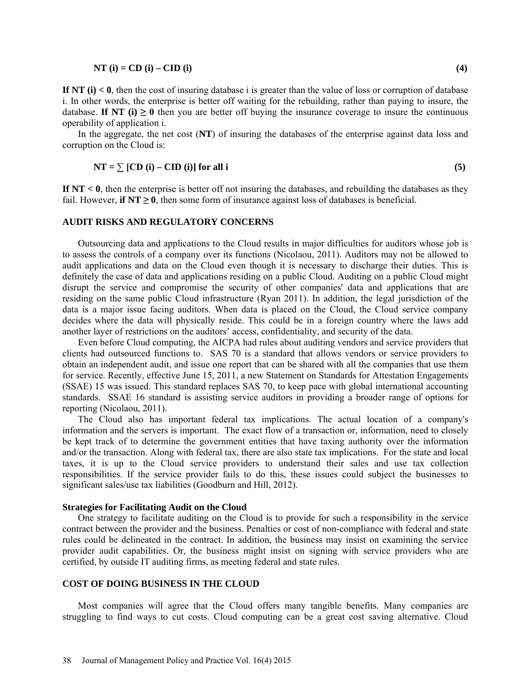#### **NT** (i) = **CD** (i) – **CID** (i) (4)

**If NT (i) < 0**, then the cost of insuring database i is greater than the value of loss or corruption of database i. In other words, the enterprise is better off waiting for the rebuilding, rather than paying to insure, the database. **If NT** (i)  $\geq 0$  then you are better off buying the insurance coverage to insure the continuous operability of application i.

In the aggregate, the net cost (**NT**) of insuring the databases of the enterprise against data loss and corruption on the Cloud is:

$$
NT = \sum [CD (i) - CID (i)] for all i
$$
 (5)

**If NT < 0**, then the enterprise is better off not insuring the databases, and rebuilding the databases as they fail. However, **if NT**  $\geq$  0, then some form of insurance against loss of databases is beneficial.

### **AUDIT RISKS AND REGULATORY CONCERNS**

Outsourcing data and applications to the Cloud results in major difficulties for auditors whose job is to assess the controls of a company over its functions (Nicolaou, 2011). Auditors may not be allowed to audit applications and data on the Cloud even though it is necessary to discharge their duties. This is definitely the case of data and applications residing on a public Cloud. Auditing on a public Cloud might disrupt the service and compromise the security of other companies' data and applications that are residing on the same public Cloud infrastructure (Ryan 2011). In addition, the legal jurisdiction of the data is a major issue facing auditors. When data is placed on the Cloud, the Cloud service company decides where the data will physically reside. This could be in a foreign country where the laws add another layer of restrictions on the auditors' access, confidentiality, and security of the data.

Even before Cloud computing, the AICPA had rules about auditing vendors and service providers that clients had outsourced functions to. SAS 70 is a standard that allows vendors or service providers to obtain an independent audit, and issue one report that can be shared with all the companies that use them for service. Recently, effective June 15, 2011, a new Statement on Standards for Attestation Engagements (SSAE) 15 was issued. This standard replaces SAS 70, to keep pace with global international accounting standards. SSAE 16 standard is assisting service auditors in providing a broader range of options for reporting (Nicolaou, 2011).

The Cloud also has important federal tax implications. The actual location of a company's information and the servers is important. The exact flow of a transaction or, information, need to closely be kept track of to determine the government entities that have taxing authority over the information and/or the transaction. Along with federal tax, there are also state tax implications. For the state and local taxes, it is up to the Cloud service providers to understand their sales and use tax collection responsibilities. If the service provider fails to do this, these issues could subject the businesses to significant sales/use tax liabilities (Goodburn and Hill, 2012).

#### **Strategies for Facilitating Audit on the Cloud**

One strategy to facilitate auditing on the Cloud is to provide for such a responsibility in the service contract between the provider and the business. Penalties or cost of non-compliance with federal and state rules could be delineated in the contract. In addition, the business may insist on examining the service provider audit capabilities. Or, the business might insist on signing with service providers who are certified, by outside IT auditing firms, as meeting federal and state rules.

# **COST OF DOING BUSINESS IN THE CLOUD**

Most companies will agree that the Cloud offers many tangible benefits. Many companies are struggling to find ways to cut costs. Cloud computing can be a great cost saving alternative. Cloud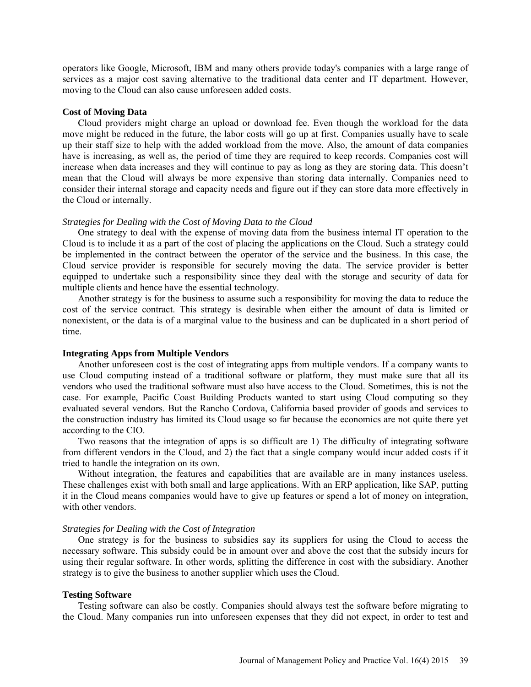operators like Google, Microsoft, IBM and many others provide today's companies with a large range of services as a major cost saving alternative to the traditional data center and IT department. However, moving to the Cloud can also cause unforeseen added costs.

# **Cost of Moving Data**

Cloud providers might charge an upload or download fee. Even though the workload for the data move might be reduced in the future, the labor costs will go up at first. Companies usually have to scale up their staff size to help with the added workload from the move. Also, the amount of data companies have is increasing, as well as, the period of time they are required to keep records. Companies cost will increase when data increases and they will continue to pay as long as they are storing data. This doesn't mean that the Cloud will always be more expensive than storing data internally. Companies need to consider their internal storage and capacity needs and figure out if they can store data more effectively in the Cloud or internally.

#### *Strategies for Dealing with the Cost of Moving Data to the Cloud*

One strategy to deal with the expense of moving data from the business internal IT operation to the Cloud is to include it as a part of the cost of placing the applications on the Cloud. Such a strategy could be implemented in the contract between the operator of the service and the business. In this case, the Cloud service provider is responsible for securely moving the data. The service provider is better equipped to undertake such a responsibility since they deal with the storage and security of data for multiple clients and hence have the essential technology.

Another strategy is for the business to assume such a responsibility for moving the data to reduce the cost of the service contract. This strategy is desirable when either the amount of data is limited or nonexistent, or the data is of a marginal value to the business and can be duplicated in a short period of time.

# **Integrating Apps from Multiple Vendors**

Another unforeseen cost is the cost of integrating apps from multiple vendors. If a company wants to use Cloud computing instead of a traditional software or platform, they must make sure that all its vendors who used the traditional software must also have access to the Cloud. Sometimes, this is not the case. For example, Pacific Coast Building Products wanted to start using Cloud computing so they evaluated several vendors. But the Rancho Cordova, California based provider of goods and services to the construction industry has limited its Cloud usage so far because the economics are not quite there yet according to the CIO.

Two reasons that the integration of apps is so difficult are 1) The difficulty of integrating software from different vendors in the Cloud, and 2) the fact that a single company would incur added costs if it tried to handle the integration on its own.

Without integration, the features and capabilities that are available are in many instances useless. These challenges exist with both small and large applications. With an ERP application, like SAP, putting it in the Cloud means companies would have to give up features or spend a lot of money on integration, with other vendors.

#### *Strategies for Dealing with the Cost of Integration*

One strategy is for the business to subsidies say its suppliers for using the Cloud to access the necessary software. This subsidy could be in amount over and above the cost that the subsidy incurs for using their regular software. In other words, splitting the difference in cost with the subsidiary. Another strategy is to give the business to another supplier which uses the Cloud.

#### **Testing Software**

Testing software can also be costly. Companies should always test the software before migrating to the Cloud. Many companies run into unforeseen expenses that they did not expect, in order to test and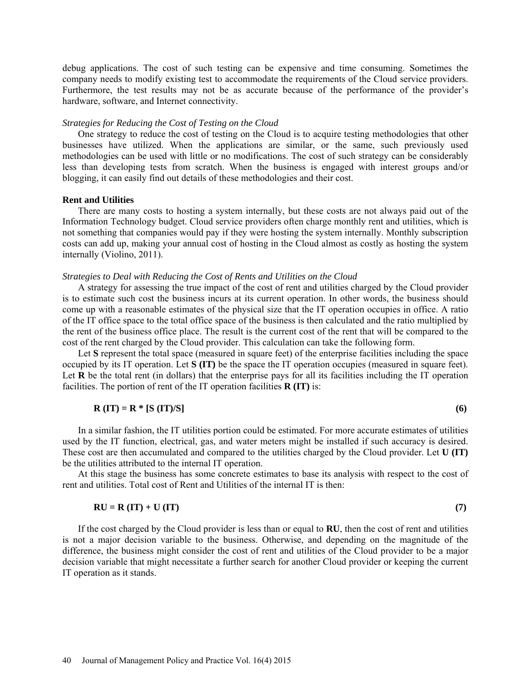debug applications. The cost of such testing can be expensive and time consuming. Sometimes the company needs to modify existing test to accommodate the requirements of the Cloud service providers. Furthermore, the test results may not be as accurate because of the performance of the provider's hardware, software, and Internet connectivity.

#### *Strategies for Reducing the Cost of Testing on the Cloud*

One strategy to reduce the cost of testing on the Cloud is to acquire testing methodologies that other businesses have utilized. When the applications are similar, or the same, such previously used methodologies can be used with little or no modifications. The cost of such strategy can be considerably less than developing tests from scratch. When the business is engaged with interest groups and/or blogging, it can easily find out details of these methodologies and their cost.

## **Rent and Utilities**

There are many costs to hosting a system internally, but these costs are not always paid out of the Information Technology budget. Cloud service providers often charge monthly rent and utilities, which is not something that companies would pay if they were hosting the system internally. Monthly subscription costs can add up, making your annual cost of hosting in the Cloud almost as costly as hosting the system internally (Violino, 2011).

#### *Strategies to Deal with Reducing the Cost of Rents and Utilities on the Cloud*

A strategy for assessing the true impact of the cost of rent and utilities charged by the Cloud provider is to estimate such cost the business incurs at its current operation. In other words, the business should come up with a reasonable estimates of the physical size that the IT operation occupies in office. A ratio of the IT office space to the total office space of the business is then calculated and the ratio multiplied by the rent of the business office place. The result is the current cost of the rent that will be compared to the cost of the rent charged by the Cloud provider. This calculation can take the following form.

Let S represent the total space (measured in square feet) of the enterprise facilities including the space occupied by its IT operation. Let **S (IT)** be the space the IT operation occupies (measured in square feet). Let  **be the total rent (in dollars) that the enterprise pays for all its facilities including the IT operation** facilities. The portion of rent of the IT operation facilities **R (IT)** is:

# $R(T) = R * [S(T)/S]$  (6)

In a similar fashion, the IT utilities portion could be estimated. For more accurate estimates of utilities used by the IT function, electrical, gas, and water meters might be installed if such accuracy is desired. These cost are then accumulated and compared to the utilities charged by the Cloud provider. Let **U (IT)** be the utilities attributed to the internal IT operation.

At this stage the business has some concrete estimates to base its analysis with respect to the cost of rent and utilities. Total cost of Rent and Utilities of the internal IT is then:

$$
RU = R (IT) + U (IT)
$$
 (7)

If the cost charged by the Cloud provider is less than or equal to **RU**, then the cost of rent and utilities is not a major decision variable to the business. Otherwise, and depending on the magnitude of the difference, the business might consider the cost of rent and utilities of the Cloud provider to be a major decision variable that might necessitate a further search for another Cloud provider or keeping the current IT operation as it stands.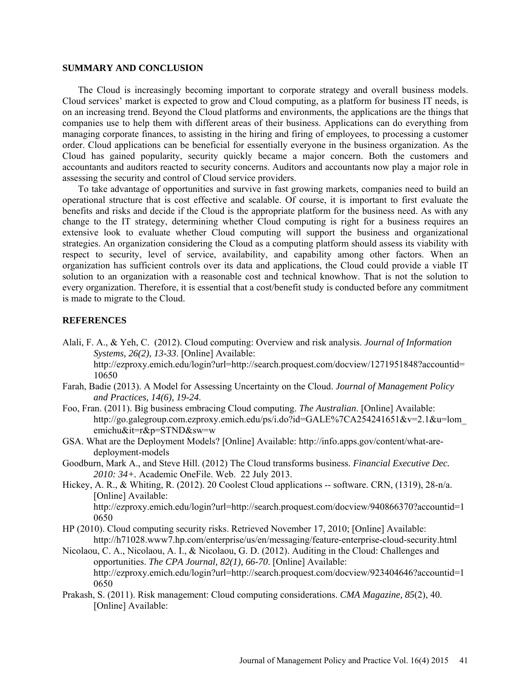#### **SUMMARY AND CONCLUSION**

The Cloud is increasingly becoming important to corporate strategy and overall business models. Cloud services' market is expected to grow and Cloud computing, as a platform for business IT needs, is on an increasing trend. Beyond the Cloud platforms and environments, the applications are the things that companies use to help them with different areas of their business. Applications can do everything from managing corporate finances, to assisting in the hiring and firing of employees, to processing a customer order. Cloud applications can be beneficial for essentially everyone in the business organization. As the Cloud has gained popularity, security quickly became a major concern. Both the customers and accountants and auditors reacted to security concerns. Auditors and accountants now play a major role in assessing the security and control of Cloud service providers.

To take advantage of opportunities and survive in fast growing markets, companies need to build an operational structure that is cost effective and scalable. Of course, it is important to first evaluate the benefits and risks and decide if the Cloud is the appropriate platform for the business need. As with any change to the IT strategy, determining whether Cloud computing is right for a business requires an extensive look to evaluate whether Cloud computing will support the business and organizational strategies. An organization considering the Cloud as a computing platform should assess its viability with respect to security, level of service, availability, and capability among other factors. When an organization has sufficient controls over its data and applications, the Cloud could provide a viable IT solution to an organization with a reasonable cost and technical knowhow. That is not the solution to every organization. Therefore, it is essential that a cost/benefit study is conducted before any commitment is made to migrate to the Cloud.

### **REFERENCES**

Alali, F. A., & Yeh, C. (2012). Cloud computing: Overview and risk analysis. *Journal of Information Systems, 26(2), 13-33*. [Online] Available: [http://ezproxy.emich.edu/login?url=http://search.proquest.com/docview/1271951848?accountid=](http://ezproxy.emich.edu/login?url=http://search.proquest.com/docview/1271951848?accountid=10650)

[10650](http://ezproxy.emich.edu/login?url=http://search.proquest.com/docview/1271951848?accountid=10650) 

- Farah, Badie (2013). A Model for Assessing Uncertainty on the Cloud. *Journal of Management Policy and Practices, 14(6), 19-24*.
- Foo, Fran. (2011). Big business embracing Cloud computing. *The Australian*. [Online] Available: [http://go.galegroup.com.ezproxy.emich.edu/ps/i.do?id=GALE%7CA254241651&v=2.1&u=lom\\_](http://go.galegroup.com.ezproxy.emich.edu/ps/i.do?id=GALE%7CA254241651&v=2.1&u=lom_emichu&it=r&p=STND&sw=w) [emichu&it=r&p=STND&sw=w](http://go.galegroup.com.ezproxy.emich.edu/ps/i.do?id=GALE%7CA254241651&v=2.1&u=lom_emichu&it=r&p=STND&sw=w)
- GSA. What are the Deployment Models? [Online] Available: [http://info.apps.gov/content/what-are](http://info.apps.gov/content/what-are-deployment-models)[deployment-models](http://info.apps.gov/content/what-are-deployment-models)
- Goodburn, Mark A., and Steve Hill. (2012) The Cloud transforms business. *Financial Executive Dec. 2010: 34+.* Academic OneFile. Web. 22 July 2013.
- Hickey, A. R., & Whiting, R. (2012). 20 Coolest Cloud applications -- software. CRN, (1319), 28-n/a. [Online] Available: [http://ezproxy.emich.edu/login?url=http://search.proquest.com/docview/940866370?accountid=1](http://ezproxy.emich.edu/login?url=http://search.proquest.com/docview/940866370?accountid=10650) [0650](http://ezproxy.emich.edu/login?url=http://search.proquest.com/docview/940866370?accountid=10650)
- HP (2010). Cloud computing security risks. Retrieved November 17, 2010; [Online] Available: <http://h71028.www7.hp.com/enterprise/us/en/messaging/feature-enterprise-cloud-security.html>

Nicolaou, C. A., Nicolaou, A. I., & Nicolaou, G. D. (2012). Auditing in the Cloud: Challenges and opportunities. *The CPA Journal, 82(1), 66-70*. [Online] Available: [http://ezproxy.emich.edu/login?url=http://search.proquest.com/docview/923404646?accountid=1](http://ezproxy.emich.edu/login?url=http://search.proquest.com/docview/923404646?accountid=10650) [0650](http://ezproxy.emich.edu/login?url=http://search.proquest.com/docview/923404646?accountid=10650) 

Prakash, S. (2011). Risk management: Cloud computing considerations. *CMA Magazine, 85*(2), 40. [Online] Available: